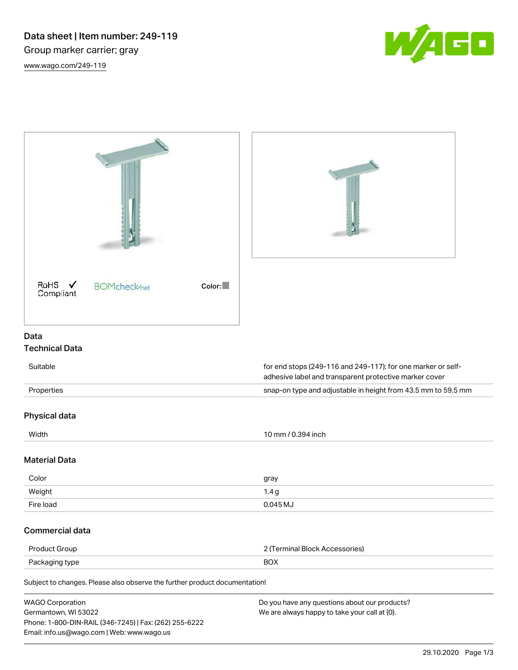

| RoHS $\checkmark$<br><b>BOMcheck</b> /net<br>Color:<br>Compliant                                                                                        |                                                                                                                        |
|---------------------------------------------------------------------------------------------------------------------------------------------------------|------------------------------------------------------------------------------------------------------------------------|
| Data                                                                                                                                                    |                                                                                                                        |
| <b>Technical Data</b>                                                                                                                                   |                                                                                                                        |
| Suitable                                                                                                                                                | for end stops (249-116 and 249-117); for one marker or self-<br>adhesive label and transparent protective marker cover |
| Properties                                                                                                                                              | snap-on type and adjustable in height from 43.5 mm to 59.5 mm                                                          |
| Physical data                                                                                                                                           |                                                                                                                        |
| Width                                                                                                                                                   | 10 mm / 0.394 inch                                                                                                     |
| <b>Material Data</b>                                                                                                                                    |                                                                                                                        |
| Color                                                                                                                                                   | gray                                                                                                                   |
| Weight                                                                                                                                                  | 1.4 <sub>g</sub>                                                                                                       |
| Fire load                                                                                                                                               | 0.045 MJ                                                                                                               |
| <b>Commercial data</b>                                                                                                                                  |                                                                                                                        |
| Product Group                                                                                                                                           | 2 (Terminal Block Accessories)                                                                                         |
| <b>BOX</b><br>Packaging type                                                                                                                            |                                                                                                                        |
| Subject to changes. Please also observe the further product documentation!                                                                              |                                                                                                                        |
| <b>WAGO Corporation</b><br>Germantown, WI 53022<br>Phone: 1-800-DIN-RAIL (346-7245)   Fax: (262) 255-6222<br>Email: info.us@wago.com   Web: www.wago.us | Do you have any questions about our products?<br>We are always happy to take your call at {0}.                         |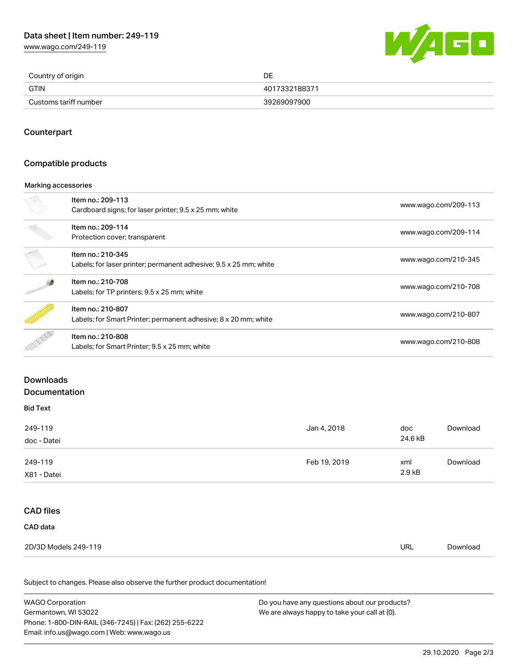# Data sheet | Item number: 249-119

[www.wago.com/249-119](http://www.wago.com/249-119)



| Country of origin     | DE            |
|-----------------------|---------------|
| <b>GTIN</b>           | 4017332188371 |
| Customs tariff number | 39269097900   |

## **Counterpart**

## Compatible products

#### Marking accessories

| Item no.: 209-113<br>Cardboard signs; for laser printer; 9.5 x 25 mm; white            | www.wago.com/209-113 |
|----------------------------------------------------------------------------------------|----------------------|
| Item no.: 209-114<br>Protection cover; transparent                                     | www.wago.com/209-114 |
| Item no.: 210-345<br>Labels; for laser printer; permanent adhesive; 9.5 x 25 mm; white | www.wago.com/210-345 |
| Item no.: 210-708<br>Labels; for TP printers; 9.5 x 25 mm; white                       | www.wago.com/210-708 |
| Item no.: 210-807<br>Labels; for Smart Printer; permanent adhesive; 8 x 20 mm; white   | www.wago.com/210-807 |
| Item no.: 210-808<br>Labels; for Smart Printer; 9.5 x 25 mm; white                     | www.wago.com/210-808 |

### Downloads

#### Documentation

## Bid Text

| 249-119<br>doc - Datei | Jan 4, 2018  | doc<br>24.6 kB | Download |
|------------------------|--------------|----------------|----------|
| 249-119<br>X81 - Datei | Feb 19, 2019 | xml<br>2.9 kB  | Download |

# CAD files

| CAD data             |            |          |
|----------------------|------------|----------|
| 2D/3D Models 249-119 | <b>URL</b> | Download |

Subject to changes. Please also observe the further product documentation!

| WAGO Corporation                                       | Do you have any questions about our products? |
|--------------------------------------------------------|-----------------------------------------------|
| Germantown. WI 53022                                   | We are always happy to take your call at {0}. |
| Phone: 1-800-DIN-RAIL (346-7245)   Fax: (262) 255-6222 |                                               |
| Email: info.us@wago.com   Web: www.wago.us             |                                               |
|                                                        |                                               |